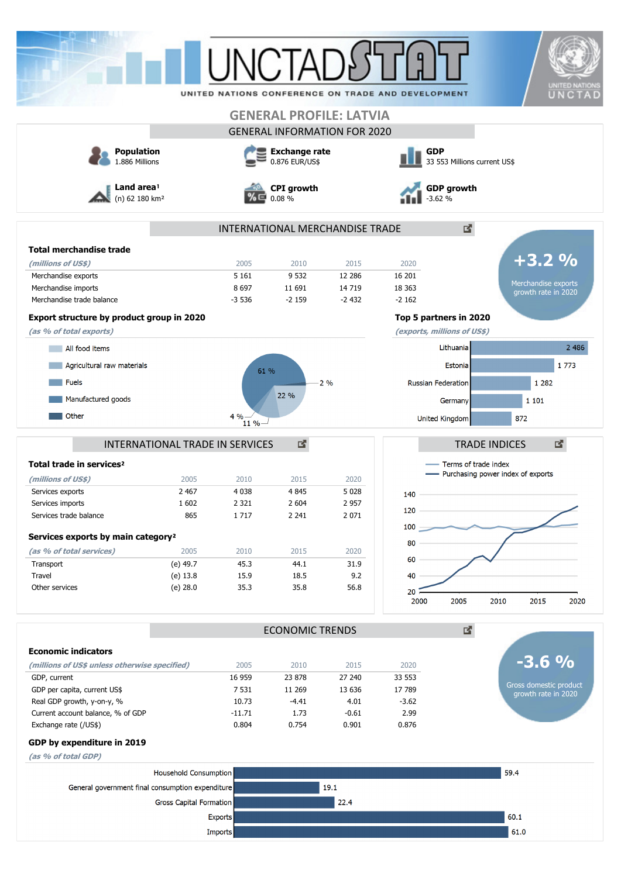|                                                                                                                                                                                                                                                                                                                                                                                                                  |                                 |                             |                                        |                                     | UNITED NATIONS CONFERENCE ON TRADE AND DEVELOPMENT | <b>UNITED NATION</b><br>UNCTAD                                |  |
|------------------------------------------------------------------------------------------------------------------------------------------------------------------------------------------------------------------------------------------------------------------------------------------------------------------------------------------------------------------------------------------------------------------|---------------------------------|-----------------------------|----------------------------------------|-------------------------------------|----------------------------------------------------|---------------------------------------------------------------|--|
|                                                                                                                                                                                                                                                                                                                                                                                                                  |                                 |                             |                                        | <b>GENERAL PROFILE: LATVIA</b>      |                                                    |                                                               |  |
|                                                                                                                                                                                                                                                                                                                                                                                                                  |                                 |                             |                                        | <b>GENERAL INFORMATION FOR 2020</b> |                                                    |                                                               |  |
| <b>Population</b><br>1.886 Millions                                                                                                                                                                                                                                                                                                                                                                              |                                 |                             | <b>Exchange rate</b><br>0.876 EUR/US\$ |                                     | <b>GDP</b><br>33 553 Millions current US\$         |                                                               |  |
| Land area <sup>1</sup><br>(n) 62 180 km <sup>2</sup>                                                                                                                                                                                                                                                                                                                                                             |                                 | <b>CPI</b> growth<br>0.08 % |                                        |                                     | <b>GDP</b> growth<br>.62%                          |                                                               |  |
|                                                                                                                                                                                                                                                                                                                                                                                                                  |                                 |                             |                                        | INTERNATIONAL MERCHANDISE TRADE     |                                                    | 國                                                             |  |
| <b>Total merchandise trade</b>                                                                                                                                                                                                                                                                                                                                                                                   |                                 |                             |                                        |                                     |                                                    |                                                               |  |
| (millions of US\$)                                                                                                                                                                                                                                                                                                                                                                                               |                                 | 2005                        | 2010                                   | 2015                                | 2020                                               | $+3.2%$                                                       |  |
| Merchandise exports                                                                                                                                                                                                                                                                                                                                                                                              |                                 | 5 1 6 1                     | 9 5 32                                 | 12 2 8 6                            | 16 201                                             |                                                               |  |
| Merchandise imports                                                                                                                                                                                                                                                                                                                                                                                              |                                 | 8697                        | 11 691                                 | 14 7 19                             | 18 3 63                                            | Merchandise exports<br>growth rate in 2020                    |  |
| Merchandise trade balance                                                                                                                                                                                                                                                                                                                                                                                        |                                 | $-3536$                     | $-2159$                                | $-2432$                             | $-2162$                                            |                                                               |  |
| Export structure by product group in 2020                                                                                                                                                                                                                                                                                                                                                                        |                                 |                             |                                        |                                     | Top 5 partners in 2020                             |                                                               |  |
| (as % of total exports)                                                                                                                                                                                                                                                                                                                                                                                          |                                 |                             |                                        |                                     | (exports, millions of US\$)                        |                                                               |  |
| All food items                                                                                                                                                                                                                                                                                                                                                                                                   |                                 |                             |                                        |                                     | Lithuania                                          | 2 4 8 6                                                       |  |
| Agricultural raw materials                                                                                                                                                                                                                                                                                                                                                                                       |                                 | 61 %                        |                                        |                                     |                                                    | 1773<br>Estonia                                               |  |
| <b>Fuels</b>                                                                                                                                                                                                                                                                                                                                                                                                     |                                 |                             |                                        | 2%                                  | Russian Federation                                 | 1 2 8 2                                                       |  |
| Manufactured goods                                                                                                                                                                                                                                                                                                                                                                                               |                                 |                             | 22 %                                   |                                     | Germany                                            | 1 1 0 1                                                       |  |
|                                                                                                                                                                                                                                                                                                                                                                                                                  |                                 |                             |                                        |                                     |                                                    |                                                               |  |
| Other                                                                                                                                                                                                                                                                                                                                                                                                            |                                 | 4%<br>11 %                  |                                        |                                     | United Kingdom                                     | 872                                                           |  |
|                                                                                                                                                                                                                                                                                                                                                                                                                  |                                 |                             |                                        |                                     |                                                    |                                                               |  |
|                                                                                                                                                                                                                                                                                                                                                                                                                  |                                 |                             |                                        |                                     |                                                    |                                                               |  |
|                                                                                                                                                                                                                                                                                                                                                                                                                  | INTERNATIONAL TRADE IN SERVICES |                             | 図                                      |                                     |                                                    | 國<br><b>TRADE INDICES</b>                                     |  |
|                                                                                                                                                                                                                                                                                                                                                                                                                  |                                 |                             |                                        |                                     |                                                    | - Terms of trade index<br>- Purchasing power index of exports |  |
|                                                                                                                                                                                                                                                                                                                                                                                                                  | 2005                            | 2010                        | 2015                                   | 2020<br>5 0 28                      |                                                    |                                                               |  |
|                                                                                                                                                                                                                                                                                                                                                                                                                  | 2 4 6 7<br>1 602                | 4 0 38<br>2 321             | 4 8 4 5<br>2 604                       | 2957                                | 140                                                |                                                               |  |
|                                                                                                                                                                                                                                                                                                                                                                                                                  | 865                             | 1717                        | 2 2 4 1                                | 2 0 7 1                             | 120                                                |                                                               |  |
|                                                                                                                                                                                                                                                                                                                                                                                                                  |                                 |                             |                                        |                                     | $100 -$                                            |                                                               |  |
|                                                                                                                                                                                                                                                                                                                                                                                                                  |                                 |                             |                                        |                                     | 80                                                 |                                                               |  |
|                                                                                                                                                                                                                                                                                                                                                                                                                  | 2005                            | 2010                        | 2015                                   | 2020                                | 60                                                 |                                                               |  |
|                                                                                                                                                                                                                                                                                                                                                                                                                  | (e) 49.7<br>$(e)$ 13.8          | 45.3<br>15.9                | 44.1<br>18.5                           | 31.9<br>9.2                         | 40                                                 |                                                               |  |
|                                                                                                                                                                                                                                                                                                                                                                                                                  | (e) 28.0                        | 35.3                        | 35.8                                   | 56.8                                | 20                                                 |                                                               |  |
|                                                                                                                                                                                                                                                                                                                                                                                                                  |                                 |                             |                                        |                                     | 2000                                               | 2005<br>2010<br>2015                                          |  |
|                                                                                                                                                                                                                                                                                                                                                                                                                  |                                 |                             | <b>ECONOMIC TRENDS</b>                 |                                     |                                                    | 國                                                             |  |
|                                                                                                                                                                                                                                                                                                                                                                                                                  |                                 |                             |                                        |                                     |                                                    |                                                               |  |
|                                                                                                                                                                                                                                                                                                                                                                                                                  |                                 | 2005                        | 2010                                   | 2015                                | 2020                                               |                                                               |  |
|                                                                                                                                                                                                                                                                                                                                                                                                                  |                                 | 16 959                      | 23 878                                 | 27 240                              | 33 553                                             |                                                               |  |
|                                                                                                                                                                                                                                                                                                                                                                                                                  |                                 | 7 5 3 1                     | 11 269                                 | 13 636                              | 17 789                                             |                                                               |  |
| Total trade in services <sup>2</sup><br>(millions of US\$)<br>Services exports<br>Services imports<br>Services trade balance<br>Services exports by main category <sup>2</sup><br>(as % of total services)<br>Transport<br>Travel<br>Other services<br><b>Economic indicators</b><br>(millions of US\$ unless otherwise specified)<br>GDP, current<br>GDP per capita, current US\$<br>Real GDP growth, y-on-y, % |                                 | 10.73                       | -4.41                                  | 4.01                                | $-3.62$                                            |                                                               |  |
|                                                                                                                                                                                                                                                                                                                                                                                                                  |                                 | $-11.71$<br>0.804           | 1.73<br>0.754                          | $-0.61$<br>0.901                    | 2.99<br>0.876                                      |                                                               |  |
|                                                                                                                                                                                                                                                                                                                                                                                                                  |                                 |                             |                                        |                                     |                                                    |                                                               |  |
|                                                                                                                                                                                                                                                                                                                                                                                                                  |                                 |                             |                                        |                                     |                                                    |                                                               |  |
|                                                                                                                                                                                                                                                                                                                                                                                                                  |                                 |                             |                                        |                                     |                                                    |                                                               |  |
|                                                                                                                                                                                                                                                                                                                                                                                                                  | Household Consumption           |                             |                                        |                                     |                                                    | 59.4                                                          |  |
| General government final consumption expenditure                                                                                                                                                                                                                                                                                                                                                                 |                                 |                             |                                        | 19.1                                |                                                    | $-3.6\%$                                                      |  |
| Current account balance, % of GDP<br>Exchange rate (/US\$)<br>GDP by expenditure in 2019<br>(as % of total GDP)                                                                                                                                                                                                                                                                                                  | Gross Capital Formation         | Exports                     |                                        | 22.4                                |                                                    | 2020<br>Gross domestic product<br>growth rate in 2020<br>60.1 |  |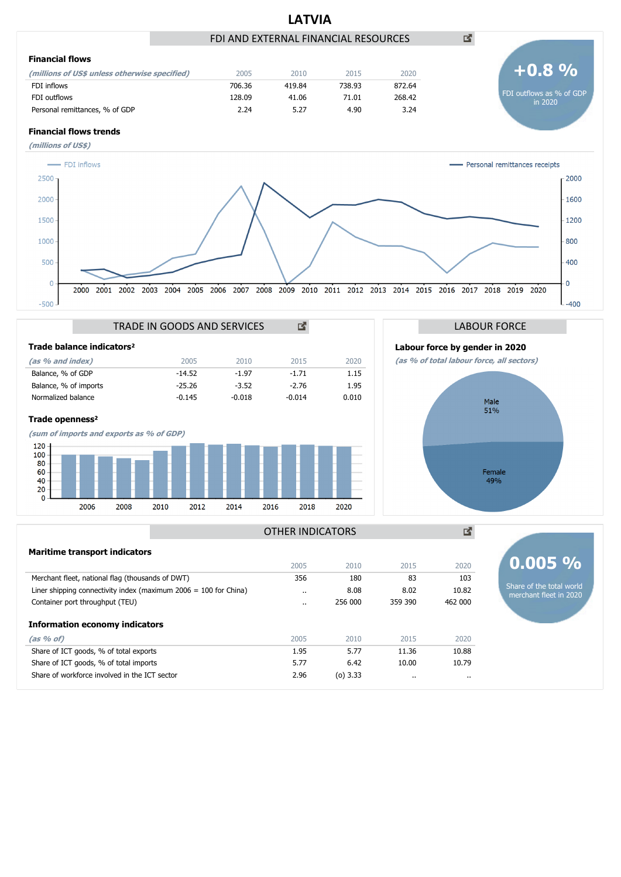





Female<br>49%

國

#### **Maritime transport indicators**

|                                                                    | 2005      | 2010        | 2015    | 2020     | $0.005 \%$                                         |
|--------------------------------------------------------------------|-----------|-------------|---------|----------|----------------------------------------------------|
| Merchant fleet, national flag (thousands of DWT)                   | 356       | 180         | 83      | 103      |                                                    |
| Liner shipping connectivity index (maximum $2006 = 100$ for China) | $\cdot$ . | 8.08        | 8.02    | 10.82    | Share of the total world<br>merchant fleet in 2020 |
| Container port throughput (TEU)                                    | $\cdot$   | 256 000     | 359 390 | 462 000  |                                                    |
| <b>Information economy indicators</b>                              |           |             |         |          |                                                    |
| (as 96 of)                                                         | 2005      | 2010        | 2015    | 2020     |                                                    |
| Share of ICT goods, % of total exports                             | 1.95      | 5.77        | 11.36   | 10.88    |                                                    |
| Share of ICT goods, % of total imports                             | 5.77      | 6.42        | 10.00   | 10.79    |                                                    |
| Share of workforce involved in the ICT sector                      | 2.96      | ( $o)$ 3.33 |         | $\cdots$ |                                                    |